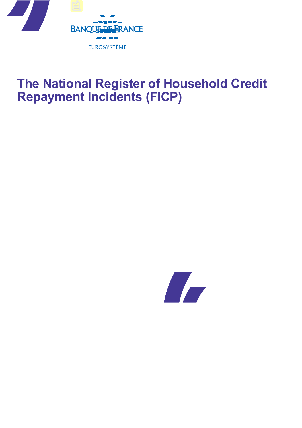

# **The National Register of Household Credit Repayment Incidents (FICP)**

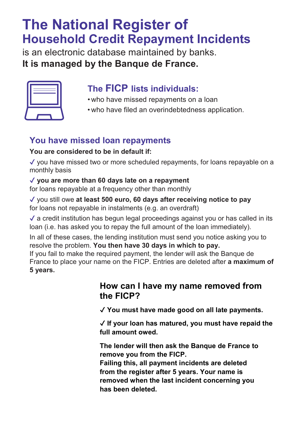# **The National Register of Household Credit Repayment Incidents**

is an electronic database maintained by banks. **It is managed by the Banque de France.**

## **The FICP lists individuals:**

- who have missed repayments on a loan
- who have filed an overindebtedness application.

### **You have missed loan repayments**

#### **You are considered to be in default if:**

✔ you have missed two or more scheduled repayments, for loans repayable on a monthly basis

#### ✔ **you are more than 60 days late on a repayment**

for loans repayable at a frequency other than monthly

✔ you still owe **at least 500 euro, 60 days after receiving notice to pay** for loans not repayable in instalments (e.g. an overdraft)

 $\checkmark$  a credit institution has begun legal proceedings against you or has called in its loan (i.e. has asked you to repay the full amount of the loan immediately).

In all of these cases, the lending institution must send you notice asking you to resolve the problem. **You then have 30 days in which to pay.**

If you fail to make the required payment, the lender will ask the Banque de France to place your name on the FICP. Entries are deleted after **a maximum of 5 years.**

#### **How can I have my name removed from the FICP?**

✔ **You must have made good on all late payments.**

✔ **If your loan has matured, you must have repaid the full amount owed.**

**The lender will then ask the Banque de France to remove you from the FICP.**

**Failing this, all payment incidents are deleted from the register after 5 years. Your name is removed when the last incident concerning you has been deleted.**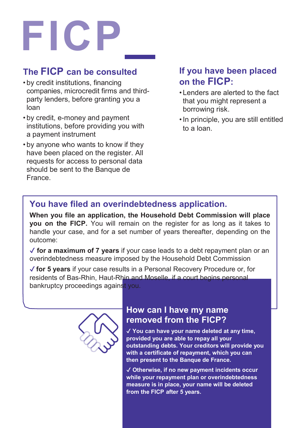# **FICP**

### **The FICP can be consulted**

- by credit institutions, financing companies, microcredit firms and thirdparty lenders, before granting you a loan
- by credit, e-money and payment institutions, before providing you with a payment instrument
- by anyone who wants to know if they have been placed on the register. All requests for access to personal data should be sent to the Banque de France.

#### **If you have been placed on the FICP:**

- Lenders are alerted to the fact that you might represent a borrowing risk.
- •In principle, you are still entitled to a loan.

#### **You have filed an overindebtedness application.**

**When you file an application, the Household Debt Commission will place you on the FICP.** You will remain on the register for as long as it takes to handle your case, and for a set number of years thereafter, depending on the outcome:

✔ **for a maximum of 7 years** if your case leads to a debt repayment plan or an overindebtedness measure imposed by the Household Debt Commission

✔ **for 5 years** if your case results in a Personal Recovery Procedure or, for residents of Bas-Rhin, Haut-Rhin and Moselle, if a court begins personal bankruptcy proceedings against you.



#### **How can I have my name removed from the FICP?**

✔ **You can have your name deleted at any time, provided you are able to repay all your outstanding debts. Your creditors will provide you with a certificate of repayment, which you can then present to the Banque de France.**

✔ **Otherwise, if no new payment incidents occur while your repayment plan or overindebtedness measure is in place, your name will be deleted from the FICP after 5 years.**